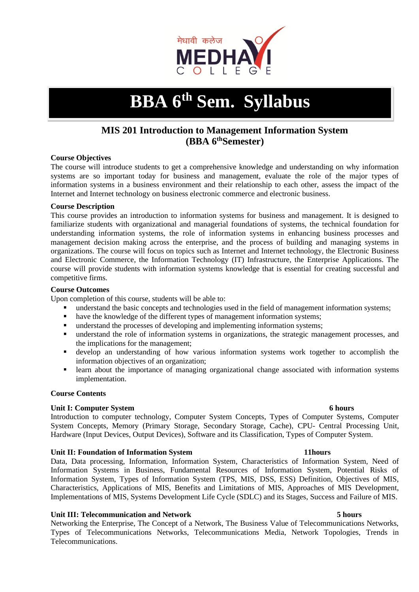

# **BBA 6th Sem. Syllabus**

# **MIS 201 Introduction to Management Information System (BBA 6thSemester)**

#### **Course Objectives**

The course will introduce students to get a comprehensive knowledge and understanding on why information systems are so important today for business and management, evaluate the role of the major types of information systems in a business environment and their relationship to each other, assess the impact of the Internet and Internet technology on business electronic commerce and electronic business.

#### **Course Description**

This course provides an introduction to information systems for business and management. It is designed to familiarize students with organizational and managerial foundations of systems, the technical foundation for understanding information systems, the role of information systems in enhancing business processes and management decision making across the enterprise, and the process of building and managing systems in organizations. The course will focus on topics such as Internet and Internet technology, the Electronic Business and Electronic Commerce, the Information Technology (IT) Infrastructure, the Enterprise Applications. The course will provide students with information systems knowledge that is essential for creating successful and competitive firms.

#### **Course Outcomes**

Upon completion of this course, students will be able to:

- understand the basic concepts and technologies used in the field of management information systems;
- have the knowledge of the different types of management information systems;
- understand the processes of developing and implementing information systems;
- understand the role of information systems in organizations, the strategic management processes, and the implications for the management;
- develop an understanding of how various information systems work together to accomplish the information objectives of an organization;
- **EXECUTE:** learn about the importance of managing organizational change associated with information systems implementation.

#### **Course Contents**

#### **Unit I: Computer System 6 hours**

Introduction to computer technology, Computer System Concepts, Types of Computer Systems, Computer System Concepts, Memory (Primary Storage, Secondary Storage, Cache), CPU- Central Processing Unit, Hardware (Input Devices, Output Devices), Software and its Classification, Types of Computer System.

#### **Unit II: Foundation of Information System 11hours**

Data, Data processing, Information, Information System, Characteristics of Information System, Need of Information Systems in Business, Fundamental Resources of Information System, Potential Risks of Information System, Types of Information System (TPS, MIS, DSS, ESS) Definition, Objectives of MIS, Characteristics, Applications of MIS, Benefits and Limitations of MIS, Approaches of MIS Development, Implementations of MIS, Systems Development Life Cycle (SDLC) and its Stages, Success and Failure of MIS.

#### **Unit III: Telecommunication and Network 5 hours**

Networking the Enterprise, The Concept of a Network, The Business Value of Telecommunications Networks, Types of Telecommunications Networks, Telecommunications Media, Network Topologies, Trends in Telecommunications.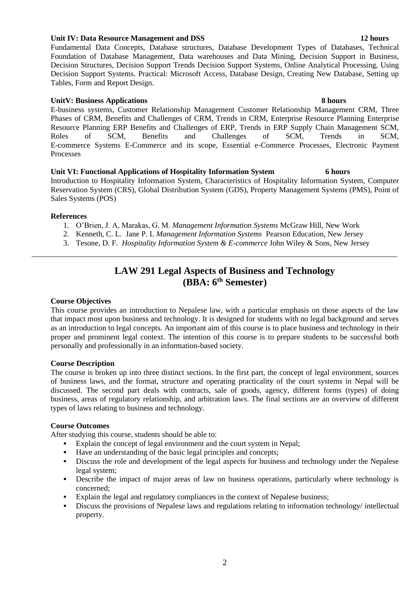### **Unit IV: Data Resource Management and DSS 12 hours**

Fundamental Data Concepts, Database structures, Database Development Types of Databases, Technical Foundation of Database Management, Data warehouses and Data Mining, Decision Support in Business, Decision Structures, Decision Support Trends Decision Support Systems, Online Analytical Processing, Using Decision Support Systems. Practical: Microsoft Access, Database Design, Creating New Database, Setting up Tables, Form and Report Design.

#### **UnitV: Business Applications 8 hours** 8 hours

E-business systems, Customer Relationship Management Customer Relationship Management CRM, Three Phases of CRM, Benefits and Challenges of CRM, Trends in CRM, Enterprise Resource Planning Enterprise Resource Planning ERP Benefits and Challenges of ERP, Trends in ERP Supply Chain Management SCM, Roles of SCM, Benefits and Challenges of SCM, Trends in SCM, E-commerce Systems E-Commerce and its scope, Essential e-Commerce Processes, Electronic Payment Processes

### **Unit VI: Functional Applications of Hospitality Information System 6 hours**

Introduction to Hospitality Information System, Characteristics of Hospitality Information System, Computer Reservation System (CRS), Global Distribution System (GDS), Property Management Systems (PMS), Point of Sales Systems (POS)

### **References**

- 1. O'Brien, J. A, Marakas, G. M. *Management Information Systems* McGraw Hill, New Work
- 2. Kenneth, C. L. Jane P. L *Management Information Systems* Pearson Education, New Jersey
- 3. Tesone, D. F. *Hospitality Information System & E-commerce* John Wiley & Sons, New Jersey

# **LAW 291 Legal Aspects of Business and Technology (BBA: 6th Semester)**

### **Course Objectives**

This course provides an introduction to Nepalese law, with a particular emphasis on those aspects of the law that impact most upon business and technology. It is designed for students with no legal background and serves as an introduction to legal concepts. An important aim of this course is to place business and technology in their proper and prominent legal context. The intention of this course is to prepare students to be successful both personally and professionally in an information-based society.

#### **Course Description**

The course is broken up into three distinct sections. In the first part, the concept of legal environment, sources of business laws, and the format, structure and operating practicality of the court systems in Nepal will be discussed. The second part deals with contracts, sale of goods, agency, different forms (types) of doing business, areas of regulatory relationship, and arbitration laws. The final sections are an overview of different types of laws relating to business and technology.

#### **Course Outcomes**

After studying this course, students should be able to:

- Explain the concept of legal environment and the court system in Nepal;
- Have an understanding of the basic legal principles and concepts;
- Discuss the role and development of the legal aspects for business and technology under the Nepalese legal system;
- **•** Describe the impact of major areas of law on business operations, particularly where technology is concerned;
- Explain the legal and regulatory compliances in the context of Nepalese business;
- Discuss the provisions of Nepalese laws and regulations relating to information technology/ intellectual property.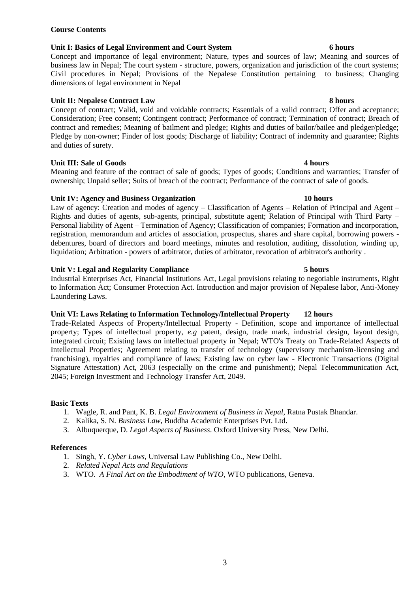### 3

### **Course Contents**

#### **Unit I: Basics of Legal Environment and Court System 6 hours**

Concept and importance of legal environment; Nature, types and sources of law; Meaning and sources of business law in Nepal; The court system - structure, powers, organization and jurisdiction of the court systems; Civil procedures in Nepal; Provisions of the Nepalese Constitution pertaining to business; Changing dimensions of legal environment in Nepal

### **Unit II: Nepalese Contract Law 8 hours**

Concept of contract; Valid, void and voidable contracts; Essentials of a valid contract; Offer and acceptance; Consideration; Free consent; Contingent contract; Performance of contract; Termination of contract; Breach of contract and remedies; Meaning of bailment and pledge; Rights and duties of bailor/bailee and pledger/pledge; Pledge by non-owner; Finder of lost goods; Discharge of liability; Contract of indemnity and guarantee; Rights and duties of surety.

### **Unit III: Sale of Goods 4 hours**

Meaning and feature of the contract of sale of goods; Types of goods; Conditions and warranties; Transfer of ownership; Unpaid seller; Suits of breach of the contract; Performance of the contract of sale of goods.

#### **Unit IV: Agency and Business Organization 10 hours**

Law of agency: Creation and modes of agency – Classification of Agents – Relation of Principal and Agent – Rights and duties of agents, sub-agents, principal, substitute agent; Relation of Principal with Third Party – Personal liability of Agent – Termination of Agency; Classification of companies; Formation and incorporation, registration, memorandum and articles of association, prospectus, shares and share capital, borrowing powers debentures, board of directors and board meetings, minutes and resolution, auditing, dissolution, winding up, liquidation; Arbitration - powers of arbitrator, duties of arbitrator, revocation of arbitrator's authority .

### **Unit V: Legal and Regularity Compliance 5 hours**

Industrial Enterprises Act, Financial Institutions Act, Legal provisions relating to negotiable instruments, Right to Information Act; Consumer Protection Act. Introduction and major provision of Nepalese labor, Anti-Money Laundering Laws.

### **Unit VI: Laws Relating to Information Technology/Intellectual Property 12 hours**

Trade-Related Aspects of Property/Intellectual Property - Definition, scope and importance of intellectual property; Types of intellectual property, *e.g* patent, design, trade mark, industrial design, layout design, integrated circuit; Existing laws on intellectual property in Nepal; WTO's Treaty on Trade-Related Aspects of Intellectual Properties; Agreement relating to transfer of technology (supervisory mechanism-licensing and franchising), royalties and compliance of laws; Existing law on cyber law - Electronic Transactions (Digital Signature Attestation) Act, 2063 (especially on the crime and punishment); Nepal Telecommunication Act, 2045; Foreign Investment and Technology Transfer Act, 2049.

### **Basic Texts**

- 1. Wagle, R. and Pant, K. B. *Legal Environment of Business in Nepal*, Ratna Pustak Bhandar.
- 2. Kalika, S. N. *Business Law*, Buddha Academic Enterprises Pvt. Ltd.
- 3. Albuquerque, D. *Legal Aspects of Business*. Oxford University Press, New Delhi.

#### **References**

- 1. Singh, Y. *Cyber Laws*, Universal Law Publishing Co., New Delhi.
- 2. *Related Nepal Acts and Regulations*
- 3. WTO. *A Final Act on the Embodiment of WTO*, WTO publications, Geneva.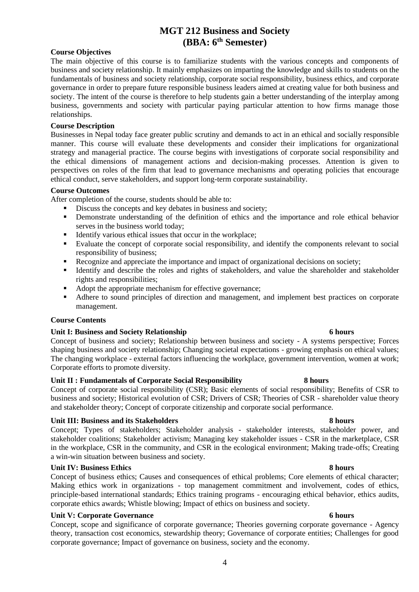# **MGT 212 Business and Society (BBA: 6th Semester)**

### **Course Objectives**

The main objective of this course is to familiarize students with the various concepts and components of business and society relationship. It mainly emphasizes on imparting the knowledge and skills to students on the fundamentals of business and society relationship, corporate social responsibility, business ethics, and corporate governance in order to prepare future responsible business leaders aimed at creating value for both business and society. The intent of the course is therefore to help students gain a better understanding of the interplay among business, governments and society with particular paying particular attention to how firms manage those relationships.

#### **Course Description**

Businesses in Nepal today face greater public scrutiny and demands to act in an ethical and socially responsible manner. This course will evaluate these developments and consider their implications for organizational strategy and managerial practice. The course begins with investigations of corporate social responsibility and the ethical dimensions of management actions and decision-making processes. Attention is given to perspectives on roles of the firm that lead to governance mechanisms and operating policies that encourage ethical conduct, serve stakeholders, and support long-term corporate sustainability.

### **Course Outcomes**

After completion of the course, students should be able to:

- **•** Discuss the concepts and key debates in business and society;
- Demonstrate understanding of the definition of ethics and the importance and role ethical behavior serves in the business world today;
- Identify various ethical issues that occur in the workplace:
- Evaluate the concept of corporate social responsibility, and identify the components relevant to social responsibility of business;
- Recognize and appreciate the importance and impact of organizational decisions on society;
- Identify and describe the roles and rights of stakeholders, and value the shareholder and stakeholder rights and responsibilities;
- Adopt the appropriate mechanism for effective governance;
- Adhere to sound principles of direction and management, and implement best practices on corporate management.

#### **Course Contents**

#### **Unit I: Business and Society Relationship 6 hours**

Concept of business and society; Relationship between business and society - A systems perspective; Forces shaping business and society relationship; Changing societal expectations - growing emphasis on ethical values; The changing workplace - external factors influencing the workplace, government intervention, women at work; Corporate efforts to promote diversity.

### **Unit II : Fundamentals of Corporate Social Responsibility 8 hours**

Concept of corporate social responsibility (CSR); Basic elements of social responsibility; Benefits of CSR to business and society; Historical evolution of CSR; Drivers of CSR; Theories of CSR - shareholder value theory and stakeholder theory; Concept of corporate citizenship and corporate social performance.

### **Unit III: Business and its Stakeholders 8 hours**

Concept; Types of stakeholders; Stakeholder analysis - stakeholder interests, stakeholder power, and stakeholder coalitions; Stakeholder activism; Managing key stakeholder issues - CSR in the marketplace, CSR in the workplace, CSR in the community, and CSR in the ecological environment; Making trade-offs; Creating a win-win situation between business and society.

### **Unit IV: Business Ethics 8 hours**

Concept of business ethics; Causes and consequences of ethical problems; Core elements of ethical character; Making ethics work in organizations - top management commitment and involvement, codes of ethics, principle-based international standards; Ethics training programs - encouraging ethical behavior, ethics audits, corporate ethics awards; Whistle blowing; Impact of ethics on business and society.

#### **Unit V: Corporate Governance 6 hours**

Concept, scope and significance of corporate governance; Theories governing corporate governance - Agency theory, transaction cost economics, stewardship theory; Governance of corporate entities; Challenges for good corporate governance; Impact of governance on business, society and the economy.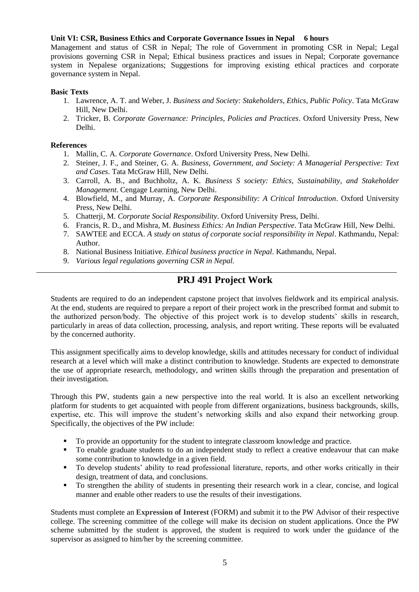### **Unit VI: CSR, Business Ethics and Corporate Governance Issues in Nepal 6 hours**

Management and status of CSR in Nepal; The role of Government in promoting CSR in Nepal; Legal provisions governing CSR in Nepal; Ethical business practices and issues in Nepal; Corporate governance system in Nepalese organizations; Suggestions for improving existing ethical practices and corporate governance system in Nepal.

#### **Basic Texts**

- 1. Lawrence, A. T. and Weber, J. *Business and Society: Stakeholders, Ethics, Public Policy*. Tata McGraw Hill, New Delhi.
- 2. Tricker, B. *Corporate Governance: Principles, Policies and Practices*. Oxford University Press, New Delhi.

### **References**

- 1. Mallin, C. A. *Corporate Governance*. Oxford University Press, New Delhi.
- 2. Steiner, J. F., and Steiner, G. A. *Business, Government, and Society: A Managerial Perspective: Text and Cases*. Tata McGraw Hill, New Delhi.
- 3. Carroll, A. B., and Buchholtz, A. K. *Business S society: Ethics, Sustainability, and Stakeholder Management*. Cengage Learning, New Delhi.
- 4. Blowfield, M., and Murray, A. *Corporate Responsibility: A Critical Introduction*. Oxford University Press, New Delhi.
- 5. Chatterji, M. *Corporate Social Responsibility*. Oxford University Press, Delhi.
- 6. Francis, R. D., and Mishra, M. *Business Ethics: An Indian Perspective*. Tata McGraw Hill, New Delhi.
- 7. SAWTEE and ECCA. *A study on status of corporate social responsibility in Nepal*. Kathmandu, Nepal: Author.
- 8. National Business Initiative. *Ethical business practice in Nepal*. Kathmandu, Nepal.
- 9. *Various legal regulations governing CSR in Nepal.*

# **PRJ 491 Project Work**

Students are required to do an independent capstone project that involves fieldwork and its empirical analysis. At the end, students are required to prepare a report of their project work in the prescribed format and submit to the authorized person/body. The objective of this project work is to develop students' skills in research, particularly in areas of data collection, processing, analysis, and report writing. These reports will be evaluated by the concerned authority.

This assignment specifically aims to develop knowledge, skills and attitudes necessary for conduct of individual research at a level which will make a distinct contribution to knowledge. Students are expected to demonstrate the use of appropriate research, methodology, and written skills through the preparation and presentation of their investigation.

Through this PW, students gain a new perspective into the real world. It is also an excellent networking platform for students to get acquainted with people from different organizations, business backgrounds, skills, expertise, etc. This will improve the student's networking skills and also expand their networking group. Specifically, the objectives of the PW include:

- To provide an opportunity for the student to integrate classroom knowledge and practice.
- To enable graduate students to do an independent study to reflect a creative endeavour that can make some contribution to knowledge in a given field.
- To develop students' ability to read professional literature, reports, and other works critically in their design, treatment of data, and conclusions.
- To strengthen the ability of students in presenting their research work in a clear, concise, and logical manner and enable other readers to use the results of their investigations.

Students must complete an **[Expression of Interest](https://www2.viu.ca/business/pdfs/Mgmt491_499ExpressionofInterestForm1.pdf)** (FORM) and submit it to the PW Advisor of their respective college. The screening committee of the college will make its decision on student applications. Once the PW scheme submitted by the student is approved, the student is required to work under the guidance of the supervisor as assigned to him/her by the screening committee.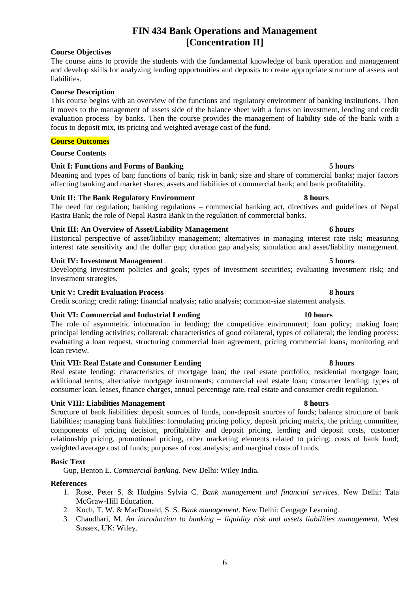# **FIN 434 Bank Operations and Management [Concentration II]**

### **Course Objectives**

### The course aims to provide the students with the fundamental knowledge of bank operation and management and develop skills for analyzing lending opportunities and deposits to create appropriate structure of assets and liabilities.

### **Course Description**

This course begins with an overview of the functions and regulatory environment of banking institutions. Then it moves to the management of assets side of the balance sheet with a focus on investment, lending and credit evaluation process by banks. Then the course provides the management of liability side of the bank with a focus to deposit mix, its pricing and weighted average cost of the fund.

### **Course Outcomes**

#### **Course Contents**

### **Unit I: Functions and Forms of Banking 5 hours**

Meaning and types of ban; functions of bank; risk in bank; size and share of commercial banks; major factors affecting banking and market shares; assets and liabilities of commercial bank; and bank profitability.

### **Unit II: The Bank Regulatory Environment 8 hours**

The need for regulation; banking regulations – commercial banking act, directives and guidelines of Nepal Rastra Bank; the role of Nepal Rastra Bank in the regulation of commercial banks.

### **Unit III: An Overview of Asset/Liability Management 6 hours**

Historical perspective of asset/liability management; alternatives in managing interest rate risk; measuring interest rate sensitivity and the dollar gap; duration gap analysis; simulation and asset/liability management.

### **Unit IV: Investment Management 5 hours**

Developing investment policies and goals; types of investment securities; evaluating investment risk; and investment strategies.

### **Unit V: Credit Evaluation Process 8 hours**

Credit scoring; credit rating; financial analysis; ratio analysis; common-size statement analysis.

#### **Unit VI: Commercial and Industrial Lending 10 hours**

The role of asymmetric information in lending; the competitive environment; loan policy; making loan; principal lending activities; collateral: characteristics of good collateral, types of collateral; the lending process: evaluating a loan request, structuring commercial loan agreement, pricing commercial loans, monitoring and loan review.

#### **Unit VII: Real Estate and Consumer Lending 8 hours**

Real estate lending: characteristics of mortgage loan; the real estate portfolio; residential mortgage loan; additional terms; alternative mortgage instruments; commercial real estate loan; consumer lending: types of consumer loan, leases, finance charges, annual percentage rate, real estate and consumer credit regulation.

#### Unit VIII: Liabilities Management 8 hours

Structure of bank liabilities: deposit sources of funds, non-deposit sources of funds; balance structure of bank liabilities; managing bank liabilities: formulating pricing policy, deposit pricing matrix, the pricing committee, components of pricing decision, profitability and deposit pricing, lending and deposit costs, customer relationship pricing, promotional pricing, other marketing elements related to pricing; costs of bank fund; weighted average cost of funds; purposes of cost analysis; and marginal costs of funds.

#### **Basic Text**

Gup, Benton E. *Commercial banking.* New Delhi: Wiley India.

#### **References**

- 1. Rose, Peter S. & Hudgins Sylvia C. *Bank management and financial services.* New Delhi: Tata McGraw-Hill Education.
- 2. Koch, T. W. & MacDonald, S. S. *Bank management.* New Delhi: Cengage Learning.
- 3. Chaudhari, M. *An introduction to banking – liquidity risk and assets liabilities management.* West Sussex, UK: Wiley.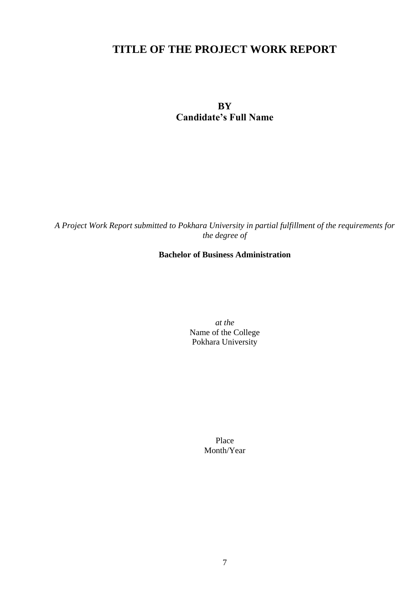# **TITLE OF THE PROJECT WORK REPORT**

**BY Candidate's Full Name**

*A Project Work Report submitted to Pokhara University in partial fulfillment of the requirements for the degree of*

# **Bachelor of Business Administration**

*at the* Name of the College Pokhara University

> Place Month/Year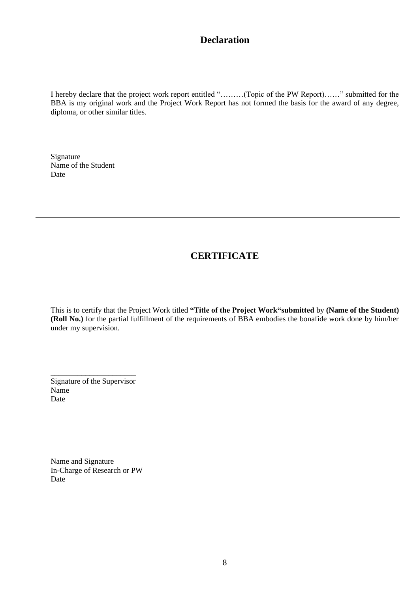# **Declaration**

I hereby declare that the project work report entitled "………(Topic of the PW Report)……" submitted for the BBA is my original work and the Project Work Report has not formed the basis for the award of any degree, diploma, or other similar titles.

Signature Name of the Student Date

# **CERTIFICATE**

This is to certify that the Project Work titled **"Title of the Project Work"submitted** by **(Name of the Student) (Roll No.)** for the partial fulfillment of the requirements of BBA embodies the bonafide work done by him/her under my supervision.

Signature of the Supervisor Name Date

\_\_\_\_\_\_\_\_\_\_\_\_\_\_\_\_\_\_\_\_\_\_

Name and Signature In-Charge of Research or PW Date